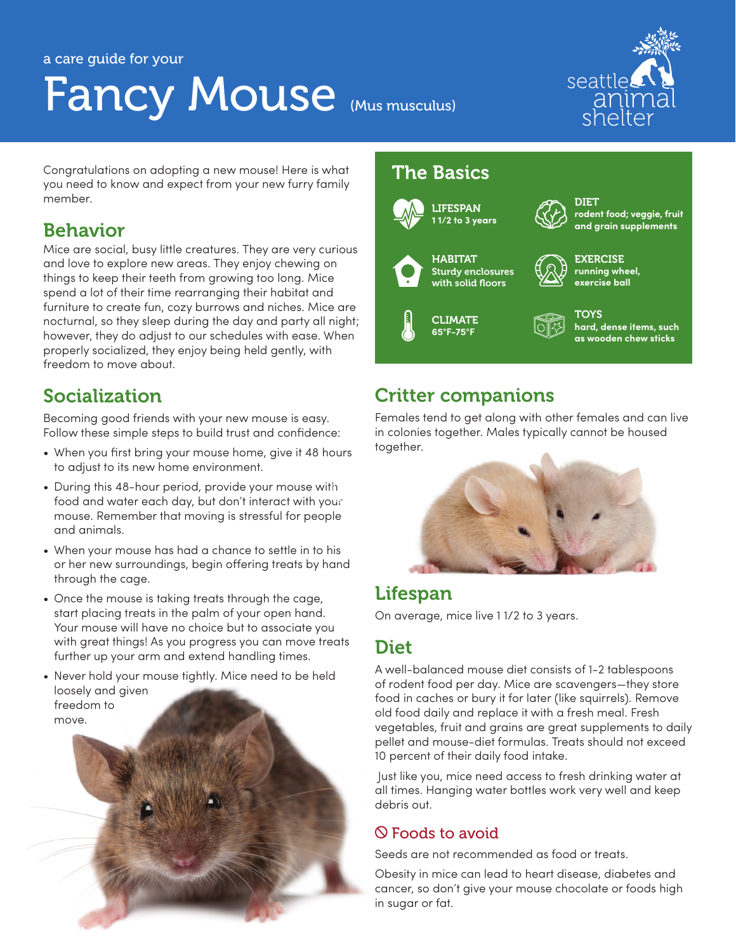#### a care guide for your

# Fancy Mouse (Mus musculus)



Congratulations on adopting a new mouse! Here is what you need to know and expect from your new furry family member.

## Behavior

Mice are social, busy little creatures. They are very curious and love to explore new areas. They enjoy chewing on things to keep their teeth from growing too long. Mice spend a lot of their time rearranging their habitat and furniture to create fun, cozy burrows and niches. Mice are nocturnal, so they sleep during the day and party all night; however, they do adjust to our schedules with ease. When properly socialized, they enjoy being held gently, with freedom to move about.

# Socialization

Becoming good friends with your new mouse is easy. Follow these simple steps to build trust and confidence:

- When you first bring your mouse home, give it 48 hours to adjust to its new home environment.
- During this 48-hour period, provide your mouse with food and water each day, but don't interact with your mouse. Remember that moving is stressful for people and animals.
- When your mouse has had a chance to settle in to his or her new surroundings, begin offering treats by hand through the cage.
- Once the mouse is taking treats through the cage, start placing treats in the palm of your open hand. Your mouse will have no choice but to associate you with great things! As you progress you can move treats further up your arm and extend handling times.
- Never hold your mouse tightly. Mice need to be held loosely and given freedom to move.

## The Basics



**TOYS hard, dense items, such as wooden chew sticks**

# Critter companions

Females tend to get along with other females and can live in colonies together. Males typically cannot be housed together.



## Lifespan

On average, mice live 1 1/2 to 3 years.

## **Diet**

A well-balanced mouse diet consists of 1-2 tablespoons of rodent food per day. Mice are scavengers—they store food in caches or bury it for later (like squirrels). Remove old food daily and replace it with a fresh meal. Fresh vegetables, fruit and grains are great supplements to daily pellet and mouse-diet formulas. Treats should not exceed 10 percent of their daily food intake.

 Just like you, mice need access to fresh drinking water at all times. Hanging water bottles work very well and keep debris out.

#### Foods to avoid

Seeds are not recommended as food or treats.

Obesity in mice can lead to heart disease, diabetes and cancer, so don't give your mouse chocolate or foods high in sugar or fat.